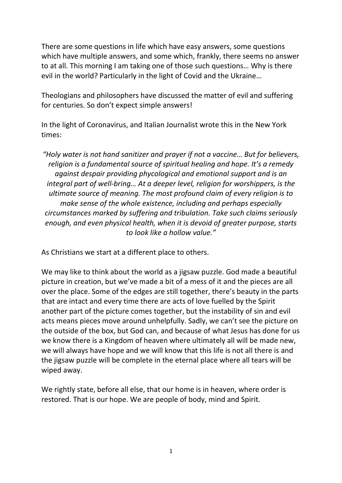There are some questions in life which have easy answers, some questions which have multiple answers, and some which, frankly, there seems no answer to at all. This morning I am taking one of those such questions… Why is there evil in the world? Particularly in the light of Covid and the Ukraine…

Theologians and philosophers have discussed the matter of evil and suffering for centuries. So don't expect simple answers!

In the light of Coronavirus, and Italian Journalist wrote this in the New York times:

*"Holy water is not hand sanitizer and prayer if not a vaccine… But for believers, religion is a fundamental source of spiritual healing and hope. It's a remedy against despair providing phycological and emotional support and is an integral part of well-bring… At a deeper level, religion for worshippers, is the ultimate source of meaning. The most profound claim of every religion is to make sense of the whole existence, including and perhaps especially circumstances marked by suffering and tribulation. Take such claims seriously enough, and even physical health, when it is devoid of greater purpose, starts to look like a hollow value."*

As Christians we start at a different place to others.

We may like to think about the world as a jigsaw puzzle. God made a beautiful picture in creation, but we've made a bit of a mess of it and the pieces are all over the place. Some of the edges are still together, there's beauty in the parts that are intact and every time there are acts of love fuelled by the Spirit another part of the picture comes together, but the instability of sin and evil acts means pieces move around unhelpfully. Sadly, we can't see the picture on the outside of the box, but God can, and because of what Jesus has done for us we know there is a Kingdom of heaven where ultimately all will be made new, we will always have hope and we will know that this life is not all there is and the jigsaw puzzle will be complete in the eternal place where all tears will be wiped away.

We rightly state, before all else, that our home is in heaven, where order is restored. That is our hope. We are people of body, mind and Spirit.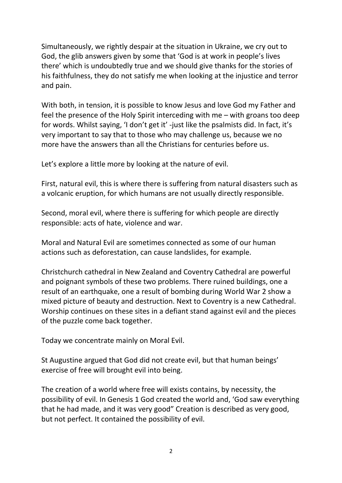Simultaneously, we rightly despair at the situation in Ukraine, we cry out to God, the glib answers given by some that 'God is at work in people's lives there' which is undoubtedly true and we should give thanks for the stories of his faithfulness, they do not satisfy me when looking at the injustice and terror and pain.

With both, in tension, it is possible to know Jesus and love God my Father and feel the presence of the Holy Spirit interceding with me – with groans too deep for words. Whilst saying, 'I don't get it' -just like the psalmists did. In fact, it's very important to say that to those who may challenge us, because we no more have the answers than all the Christians for centuries before us.

Let's explore a little more by looking at the nature of evil.

First, natural evil, this is where there is suffering from natural disasters such as a volcanic eruption, for which humans are not usually directly responsible.

Second, moral evil, where there is suffering for which people are directly responsible: acts of hate, violence and war.

Moral and Natural Evil are sometimes connected as some of our human actions such as deforestation, can cause landslides, for example.

Christchurch cathedral in New Zealand and Coventry Cathedral are powerful and poignant symbols of these two problems. There ruined buildings, one a result of an earthquake, one a result of bombing during World War 2 show a mixed picture of beauty and destruction. Next to Coventry is a new Cathedral. Worship continues on these sites in a defiant stand against evil and the pieces of the puzzle come back together.

Today we concentrate mainly on Moral Evil.

St Augustine argued that God did not create evil, but that human beings' exercise of free will brought evil into being.

The creation of a world where free will exists contains, by necessity, the possibility of evil. In Genesis 1 God created the world and, 'God saw everything that he had made, and it was very good" Creation is described as very good, but not perfect. It contained the possibility of evil.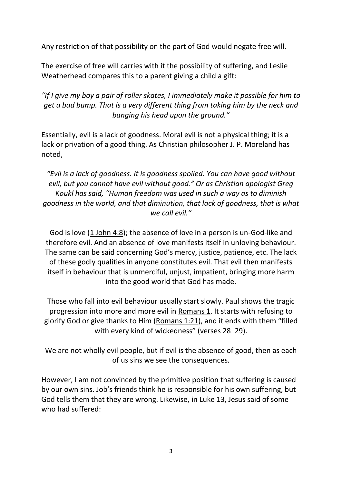Any restriction of that possibility on the part of God would negate free will.

The exercise of free will carries with it the possibility of suffering, and Leslie Weatherhead compares this to a parent giving a child a gift:

*"If I give my boy a pair of roller skates, I immediately make it possible for him to get a bad bump. That is a very different thing from taking him by the neck and banging his head upon the ground."*

Essentially, evil is a lack of goodness. Moral evil is not a physical thing; it is a lack or privation of a good thing. As Christian philosopher J. P. Moreland has noted,

*"Evil is a lack of goodness. It is goodness spoiled. You can have good without evil, but you cannot have evil without good." Or as Christian apologist Greg Koukl has said, "Human freedom was used in such a way as to diminish goodness in the world, and that diminution, that lack of goodness, that is what we call evil."*

God is love [\(1 John 4:8\)](https://biblia.com/bible/esv/1%20John%204.8); the absence of love in a person is un-God-like and therefore evil. And an absence of love manifests itself in unloving behaviour. The same can be said concerning God's mercy, justice, patience, etc. The lack of these godly qualities in anyone constitutes evil. That evil then manifests itself in behaviour that is unmerciful, unjust, impatient, bringing more harm into the good world that God has made.

Those who fall into evil behaviour usually start slowly. Paul shows the tragic progression into more and more evil in [Romans 1.](https://biblia.com/bible/esv/Rom%201) It starts with refusing to glorify God or give thanks to Him [\(Romans 1:21\)](https://biblia.com/bible/esv/Rom%201.21), and it ends with them "filled with every kind of wickedness" (verses 28–29).

We are not wholly evil people, but if evil is the absence of good, then as each of us sins we see the consequences.

However, I am not convinced by the primitive position that suffering is caused by our own sins. Job's friends think he is responsible for his own suffering, but God tells them that they are wrong. Likewise, in Luke 13, Jesus said of some who had suffered: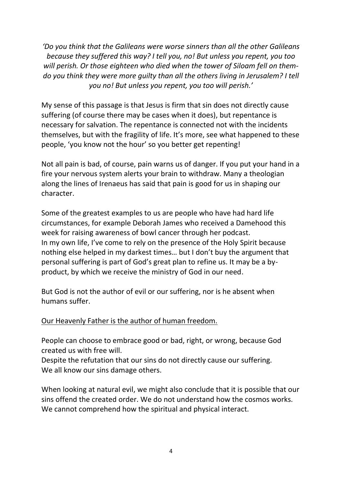*'Do you think that the Galileans were worse sinners than all the other Galileans because they suffered this way? I tell you, no! But unless you repent, you too will perish. Or those eighteen who died when the tower of Siloam fell on themdo you think they were more guilty than all the others living in Jerusalem? I tell you no! But unless you repent, you too will perish.'*

My sense of this passage is that Jesus is firm that sin does not directly cause suffering (of course there may be cases when it does), but repentance is necessary for salvation. The repentance is connected not with the incidents themselves, but with the fragility of life. It's more, see what happened to these people, 'you know not the hour' so you better get repenting!

Not all pain is bad, of course, pain warns us of danger. If you put your hand in a fire your nervous system alerts your brain to withdraw. Many a theologian along the lines of Irenaeus has said that pain is good for us in shaping our character.

Some of the greatest examples to us are people who have had hard life circumstances, for example Deborah James who received a Damehood this week for raising awareness of bowl cancer through her podcast. In my own life, I've come to rely on the presence of the Holy Spirit because nothing else helped in my darkest times… but I don't buy the argument that personal suffering is part of God's great plan to refine us. It may be a byproduct, by which we receive the ministry of God in our need.

But God is not the author of evil or our suffering, nor is he absent when humans suffer.

## Our Heavenly Father is the author of human freedom.

People can choose to embrace good or bad, right, or wrong, because God created us with free will.

Despite the refutation that our sins do not directly cause our suffering. We all know our sins damage others.

When looking at natural evil, we might also conclude that it is possible that our sins offend the created order. We do not understand how the cosmos works. We cannot comprehend how the spiritual and physical interact.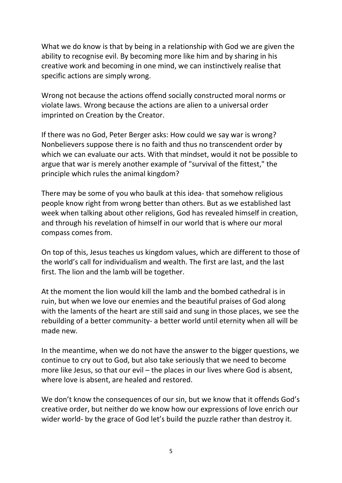What we do know is that by being in a relationship with God we are given the ability to recognise evil. By becoming more like him and by sharing in his creative work and becoming in one mind, we can instinctively realise that specific actions are simply wrong.

Wrong not because the actions offend socially constructed moral norms or violate laws. Wrong because the actions are alien to a universal order imprinted on Creation by the Creator.

If there was no God, Peter Berger asks: How could we say war is wrong? Nonbelievers suppose there is no faith and thus no transcendent order by which we can evaluate our acts. With that mindset, would it not be possible to argue that war is merely another example of "survival of the fittest," the principle which rules the animal kingdom?

There may be some of you who baulk at this idea- that somehow religious people know right from wrong better than others. But as we established last week when talking about other religions, God has revealed himself in creation, and through his revelation of himself in our world that is where our moral compass comes from.

On top of this, Jesus teaches us kingdom values, which are different to those of the world's call for individualism and wealth. The first are last, and the last first. The lion and the lamb will be together.

At the moment the lion would kill the lamb and the bombed cathedral is in ruin, but when we love our enemies and the beautiful praises of God along with the laments of the heart are still said and sung in those places, we see the rebuilding of a better community- a better world until eternity when all will be made new.

In the meantime, when we do not have the answer to the bigger questions, we continue to cry out to God, but also take seriously that we need to become more like Jesus, so that our evil – the places in our lives where God is absent, where love is absent, are healed and restored.

We don't know the consequences of our sin, but we know that it offends God's creative order, but neither do we know how our expressions of love enrich our wider world- by the grace of God let's build the puzzle rather than destroy it.